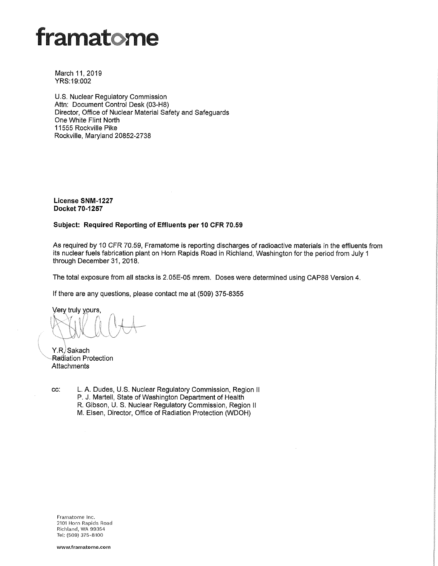# framatome

March 11, 2019 YRS:19:002

U.S. Nuclear Regulatory Commission Attn: Document Control Desk (03-H8) Director, Office of Nuclear Material Safety and Safeguards One White Flint North 11555 Rockville Pike Rockville, Maryland 20852-2738

**License SNM-1227 Docket 70-1257** 

# **Subject: Required Reporting of Effluents per 10 CFR 70.59**

As required by 10 CFR 70.59, Framatome is reporting discharges of radioactive materials in the effluents from its nuclear fuels fabrication plant on Horn Rapids Road in Richland, Washington for the period from July 1 through December 31, 2018.

The total exposure from all stacks is 2.05E-05 mrem. Doses were determined using CAP88 Version 4.

If there are any questions, please contact me at (509) 375-8355

Very truly yours,

Y.R. Sakach Radiation Protection Attachments

cc: L. A. Dudes, U.S. Nuclear Regulatory Commission, Region II P. J. Martell, State of Washington Department of Health R. Gibson, U. S. Nuclear Regulatory Commission, Region II M. Elsen, Director, Office of Radiation Protection (WDOH)

Framatome Inc. 2101 Horn Rapids Road Richland, WA 99354 Tel: (509) 375-8100

www.framatome.com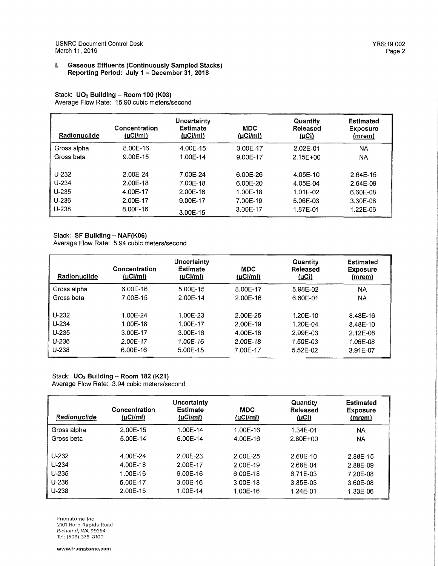#### I. **Gaseous Effluents (Continuously Sampled Stacks) Reporting Period: July 1 - December 31, 2018**

Stack: **U02 Building - Room 100 (K03)**  Average Flow Rate: 15.90 cubic meters/second

| Radionuclide | Concentration<br>(µCi/ml) | Uncertainty<br><b>Estimate</b><br>(LCl/m) | MDC<br>$(\mu$ Ci/ml) | Quantity<br>Released<br><u>(µCi)</u> | <b>Estimated</b><br><b>Exposure</b><br>(mrem) |
|--------------|---------------------------|-------------------------------------------|----------------------|--------------------------------------|-----------------------------------------------|
| Gross alpha  | 8.00E-16                  | 4.00E-15                                  | 3.00E-17             | 2.02F-01                             | <b>NA</b>                                     |
| Gross beta   | 9.00E-15                  | 1.00E-14                                  | 9.00E-17             | $2.15E+00$                           | <b>NA</b>                                     |
| $U-232$      | 2.00E-24                  | 7.00E-24                                  | 6.00E-26             | 4.05E-10                             | 2.64E-15                                      |
| $U-234$      | 2.00E-18                  | 7.00E-18                                  | 6.00E-20             | 4.05E-04                             | 2.64E-09                                      |
| $U - 235$    | 4.00E-17                  | 2.00F-16                                  | 1.00E-18             | 1.01E-02                             | 6.60E-08                                      |
| $U-236$      | 2.00E-17                  | 9.00E-17                                  | 7.00E-19             | 5.06E-03                             | 3.30E-08                                      |
| $U - 238$    | 8.00E-16                  | 3.00E-15                                  | 3.00E-17             | 1.87E-01                             | 1.22E-06                                      |

# Stack: **SF Building - NAF(K06)**

Average Flow Rate: 5.94 cubic meters/second

| Radionuclide | Concentration<br>$(\mu$ Ci/ml $)$ | Uncertainty<br>Estimate<br>$(\mu$ Ci/ml $)$ | <b>MDC</b><br>$(\mu$ Ci/ml $)$ | Quantity<br>Released<br><u>(µСі)</u> | <b>Estimated</b><br><b>Exposure</b><br><u>(mrem)</u> |
|--------------|-----------------------------------|---------------------------------------------|--------------------------------|--------------------------------------|------------------------------------------------------|
| Gross alpha  | $6.00E-16$                        | 5.00E-15                                    | 8.00E-17                       | 5.98E-02                             | <b>NA</b>                                            |
| Gross beta   | 7.00E-15                          | 2.00E-14                                    | 2.00E-16                       | 6.60E-01                             | NA.                                                  |
|              |                                   |                                             |                                |                                      |                                                      |
| $U-232$      | 1.00E-24                          | 1.00F-23                                    | 2.00E-25                       | 1.20E-10                             | 8.48E-16                                             |
| $U-234$      | 1.00E-18                          | 1.00E-17                                    | 2.00E-19                       | 1.20E-04                             | 8.48E-10                                             |
| $U - 235$    | 3.00E-17                          | 3.00E-16                                    | 4.00E-18                       | 2.99F-03                             | 2.12E-08                                             |
| $U - 236$    | 2.00E-17                          | 1.00E-16                                    | 2.00E-18                       | 1.50E-03                             | 1.06E-08                                             |
| $U-238$      | 6.00E-16                          | 5.00E-15                                    | 7.00E-17                       | 5.52E-02                             | 3.91E-07                                             |

# Stack: **U02 Building - Room 182 (K21)**  Average Flow Rate: 3.94 cubic meters/second

| Radionuclide                                              | Concentration<br>(uCilml)                                | Uncertainty<br><b>Estimate</b><br>$(\mu$ Ci/ml $)$         | <b>MDC</b><br>$(\mu$ Ci/ml $)$                           | Quantity<br>Released<br>(µCi)                            | <b>Estimated</b><br><b>Exposure</b><br>(mrem)            |
|-----------------------------------------------------------|----------------------------------------------------------|------------------------------------------------------------|----------------------------------------------------------|----------------------------------------------------------|----------------------------------------------------------|
| Gross alpha                                               | 2.00E-15                                                 | 1.00E-14                                                   | 1.00E-16                                                 | 1.34E-01                                                 | <b>NA</b>                                                |
| Gross beta                                                | 5.00E-14                                                 | 6.00E-14                                                   | 4.00E-16                                                 | 2.80E+00                                                 | NA                                                       |
| $U-232$<br>$U - 234$<br>$U-235$<br>$U - 236$<br>$U - 238$ | 4.00E-24<br>4.00E-18<br>1.00E-16<br>5.00E-17<br>2.00E-15 | 2.00E-23<br>2.00E-17<br>$6.00E-16$<br>3.00E-16<br>1.00E-14 | 2.00E-25<br>2.00E-19<br>6.00E-18<br>3.00E-18<br>1.00E-16 | 2.68E-10<br>2.68E-04<br>6.71E-03<br>3.35E-03<br>1.24E-01 | 2.88E-15<br>2.88E-09<br>7.20E-08<br>3.60E-08<br>1.33E-06 |

Framatome Inc. 2101 Horn Rapids Road Richland, WA 99354 Tel: (509) 375-8100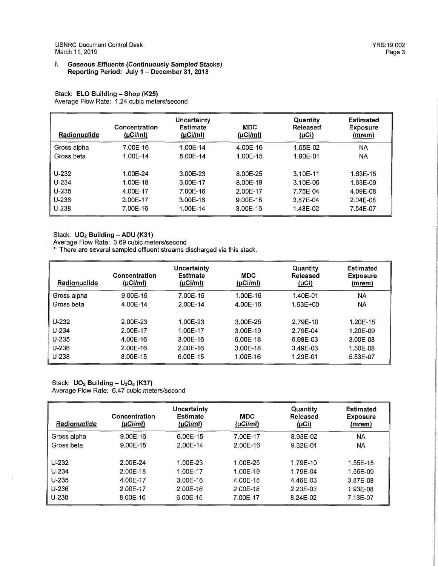USNRC Document Control Desk YRS:19:002 March 11, 2019

#### I. **Gaseous Effluents (Continuously Sampled Stacks) Reporting Period: July 1** - **December 31, 2018**

Stack: **ELO Building** - **Shop (K25)**  Average Flow Rate: 1.24 cubic meters/second

| Radionuclide | Concentration<br>(µCi/ml) | Uncertainty<br><b>Estimate</b><br>(LCl/ml) | <b>MDC</b><br>(µC <sub>i</sub> /ml) | Quantity<br>Released<br><u>(µCi)</u> | <b>Estimated</b><br><b>Exposure</b><br>(mrem) |
|--------------|---------------------------|--------------------------------------------|-------------------------------------|--------------------------------------|-----------------------------------------------|
| Gross alpha  | 7.00E-16                  | 1.00E-14                                   | 4.00E-16                            | 1.55E-02                             | NA.                                           |
| Gross beta   | 1.00E-14                  | 5.00E-14                                   | 1.00E-15                            | 1.90E-01                             | NA.                                           |
| $U - 232$    | 1.00E-24                  | 3.00E-23                                   | 8.00E-25                            | $3.10E - 11$                         | 1.63E-15                                      |
| $U - 234$    | 1.00E-18                  | 3.00E-17                                   | 8.00E-19                            | 3.10E-05                             | 1.63E-09                                      |
| $U-235$      | 4.00E-17                  | 7.00E-16                                   | 2.00E-17                            | 7.75E-04                             | 4.09E-08                                      |
| $U-236$      | 2.00E-17                  | 3.00E-16                                   | 9.00E-18                            | 3.87E-04                             | 2.04E-08                                      |
| $U - 238$    | 7.00E-16                  | 1.00E-14                                   | 3.00E-16                            | 1.43E-02                             | 7.54E-07                                      |

Stack: **U02 Building** - **ADU (K31)** 

Average Flow Rate: 3.69 cubic meters/second

\* There are several sampled effluent streams discharged via this stack.

| Radionuclide | Concentration<br>(LC <sub>i</sub> /m <sub>i</sub> ) | <b>Uncertainty</b><br><b>Estimate</b><br>$(\mu$ Ci/ml $)$ | <b>MDC</b><br>$(\mu$ Ci/ml $)$ | Quantity<br>Released<br>(µCi) | <b>Estimated</b><br><b>Exposure</b><br>(mrem) |
|--------------|-----------------------------------------------------|-----------------------------------------------------------|--------------------------------|-------------------------------|-----------------------------------------------|
| Gross alpha  | 9.00E-15                                            | 7.00E-15                                                  | 1.00E-16                       | 1.40E-01                      | NA                                            |
| Gross beta   | 4.00E-14                                            | 2.00E-14                                                  | 4.00E-16                       | $1.63E + 00$                  | NA.                                           |
| $U - 232$    | 2.00E-23                                            | 1.00E-23                                                  | 3.00E-25                       | 2.79E-10                      | $1.20F-15$                                    |
| $U - 234$    | 2.00E-17                                            | 1.00E-17                                                  | 3.00E-19                       | 2.79E-04                      | 1.20E-09                                      |
| $U-235$      | 4.00E-16                                            | 3.00E-16                                                  | 6.00E-18                       | 6.98E-03                      | 3.00E-08                                      |
| $U-236$      | 2.00E-16                                            | 2.00E-16                                                  | 3.00E-18                       | 3.49E-03                      | 1.50F-08                                      |
| $U-238$      | 8.00E-15                                            | 6.00E-15                                                  | 1.00E-16                       | 1.29E-01                      | 5.53E-07                                      |

Stack: **UO<sub>2</sub> Building - U<sub>3</sub>O<sub>8</sub> (K37)** Average Flow Rate: 6.47 cubic meters/second

| Radionuclide | Concentration<br>$(\mu$ Ci/ml $)$ | Uncertainty<br><b>Estimate</b><br>$(\mu$ Ci/ml $)$ | <b>MDC</b><br>$(\mu$ Ci/ml $)$ | Quantity<br>Released<br>(µCi) | <b>Estimated</b><br><b>Exposure</b><br>(mrem) |
|--------------|-----------------------------------|----------------------------------------------------|--------------------------------|-------------------------------|-----------------------------------------------|
| Gross alpha  | $9.00E-16$                        | 6.00E-15                                           | 7.00E-17                       | 8.93E-02                      | <b>NA</b>                                     |
| Gross beta   | 9.00E-15                          | 2.00E-14                                           | 2.00E-16                       | 9.32E-01                      | <b>NA</b>                                     |
| $U-232$      | 2.00E-24                          | 1.00E-23                                           | 1.00E-25                       | 1.79E-10                      | 1.55E-15                                      |
| $U-234$      | 2.00E-18                          | 1.00E-17                                           | 1.00E-19                       | 1.79E-04                      | 1.55E-09                                      |
| $U-235$      | 4.00E-17                          | $3.00E-16$                                         | 4.00E-18                       | 4.46E-03                      | 3.87E-08                                      |
| U-236        | 2.00E-17                          | 2.00E-16                                           | 2.00E-18                       | 2.23E-03                      | 1.93E-08                                      |
| $U-238$      | 8.00E-16                          | 6.00E-15                                           | 7.00E-17                       | 8.24E-02                      | 7.13E-07                                      |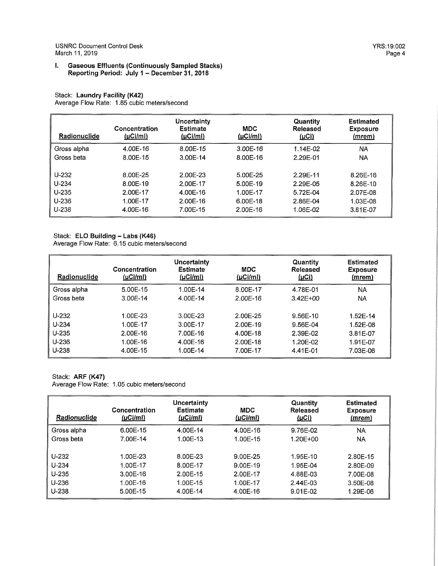# Stack: **Laundry Facility (K42)**  Average Flow Rate: 1.85 cubic meters/second

| Radionuclide | Concentration<br>$(\mu$ Ci/ml $)$ | Uncertainty<br>Estimate<br>(µC <sub>i</sub> /ml) | MDC<br>(µCi/ml) | Quantity<br>Released<br>(µCi) | <b>Estimated</b><br><b>Exposure</b><br>(mrem) |
|--------------|-----------------------------------|--------------------------------------------------|-----------------|-------------------------------|-----------------------------------------------|
| Gross alpha  | 4.00E-16                          | 8.00E-15                                         | 3.00E-16        | 1.14E-02                      | <b>NA</b>                                     |
| Gross beta   | 8.00E-15                          | 3.00E-14                                         | 8.00E-16        | 2.29E-01                      | <b>NA</b>                                     |
|              |                                   |                                                  |                 |                               |                                               |
| $U-232$      | 8.00E-25                          | 2.00E-23                                         | 5.00E-25        | 2.29E-11                      | 8.26E-16                                      |
| $U-234$      | 8.00E-19                          | 2.00E-17                                         | 5.00E-19        | 2.29E-05                      | 8.26E-10                                      |
| $U - 235$    | 2.00E-17                          | 4.00E-16                                         | 1.00E-17        | 5.72E-04                      | 2.07E-08                                      |
| U-236        | 1.00E-17                          | 2.00E-16                                         | 6.00E-18        | 2.86E-04                      | 1.03E-08                                      |
| U-238        | 4.00E-16                          | 7.00E-15                                         | 2.00E-16        | 1.06E-02                      | 3.81E-07                                      |

# Stack: **ELO Building - Labs (K46)**

Average Flow Rate: 6.15 cubic meters/second

| Radionuclide | Concentration<br>(uCilml) | Uncertainty<br>Estimate<br> µC /m | MDC<br>(LCl/ml) | Quantity<br>Released<br><u>(µCi)</u> | Estimated<br><b>Exposure</b><br><u>(mrem)</u> |
|--------------|---------------------------|-----------------------------------|-----------------|--------------------------------------|-----------------------------------------------|
| Gross alpha  | $5.00E-15$                | 1.00E-14                          | 8.00E-17        | 4.78E-01                             | NA                                            |
| Gross beta   | 3.00E-14                  | 4.00E-14                          | 2.00E-16        | $3.42E + 00$                         | NA.                                           |
|              |                           |                                   |                 |                                      |                                               |
| $U-232$      | 1.00E-23                  | 3.00E-23                          | 2.00E-25        | 9.56E-10                             | 1.52E-14                                      |
| $U - 234$    | 1.00E-17                  | 3.00E-17                          | 2.00E-19        | 9.56E-04                             | 1.52E-08                                      |
| $U-235$      | 2.00E-16                  | 7.00E-16                          | 4.00E-18        | 2.39E-02                             | 3.81E-07                                      |
| $U - 236$    | 1.00E-16                  | 4.00E-16                          | 2.00E-18        | 1.20F-02                             | 1.91E-07                                      |
| $U-238$      | 4.00E-15                  | 1.00E-14                          | 7.00E-17        | 4.41E-01                             | 7.03E-06                                      |

# Stack: **ARF (K47)**

Average Flow Rate: 1.05 cubic meters/second

| Radionuclide | Concentration<br>(µCi/ml) | Uncertainty<br><b>Estimate</b><br>$(\mu$ Ci/ml $)$ | <b>MDC</b><br>$(\mu$ Ci/ml $)$ | Quantity<br><b>Released</b><br><u>(µCi)</u> | <b>Estimated</b><br><b>Exposure</b><br><u>(mrem)</u> |
|--------------|---------------------------|----------------------------------------------------|--------------------------------|---------------------------------------------|------------------------------------------------------|
| Gross alpha  | 6.00E-15                  | 4.00E-14                                           | 4.00E-16                       | 9.76E-02                                    | <b>NA</b>                                            |
| Gross beta   | 7.00E-14                  | 1.00E-13                                           | 1.00E-15                       | 1.20E+00                                    | <b>NA</b>                                            |
| $U-232$      | 1.00E-23                  | 8.00E-23                                           | 9.00E-25                       | 1.95E-10                                    | 2.80E-15                                             |
| $U - 234$    | 1.00E-17                  | 8.00E-17                                           | 9.00E-19                       | 1.95E-04                                    | 2.80E-09                                             |
| U-235        | 3.00E-16                  | 2.00E-15                                           | 2.00E-17                       | 4.88E-03                                    | 7.00E-08                                             |
| $U-236$      | 1.00E-16                  | 1.00E-15                                           | 1.00E-17                       | 2.44E-03                                    | 3.50E-08                                             |
| $U - 238$    | 5.00E-15                  | 4.00E-14                                           | 4.00E-16                       | 9.01E-02                                    | 1.29E-06                                             |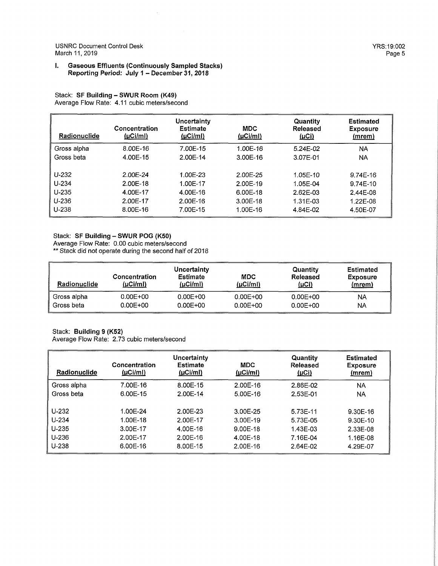USNRC Document Control Desk YRS:19:002 March 11, 2019 **Page 5** 

#### I. **Gaseous Effluents (Continuously Sampled Stacks) Reporting Period: July 1** - **December 31, 2018**

 $\sim$ 

#### Stack: **SF Building** - **SWUR Room (K49)**  Average Flow Rate: 4.11 cubic meters/second

| Radionuclide | Concentration<br>(LCl/ml) | Uncertainty<br><b>Estimate</b><br>(LC <sub>i</sub> /mI) | <b>MDC</b><br>(LCl/ml) | Quantity<br>Released<br><u>(µCi)</u> | <b>Estimated</b><br><b>Exposure</b><br><u>(mrem)</u> |
|--------------|---------------------------|---------------------------------------------------------|------------------------|--------------------------------------|------------------------------------------------------|
| Gross alpha  | 8.00F-16                  | 7.00E-15                                                | 1.00E-16               | $5.24E-02$                           | NA                                                   |
| Gross beta   | 4.00E-15                  | 2.00E-14                                                | 3.00E-16               | 3.07E-01                             | NA                                                   |
|              |                           |                                                         |                        |                                      |                                                      |
| $U - 232$    | 2.00E-24                  | 1.00E-23                                                | 2.00E-25               | 1.05E-10                             | $9.74E-16$                                           |
| $U-234$      | 2.00E-18                  | 1.00E-17                                                | 2.00E-19               | 1.05E-04                             | 9.74E-10                                             |
| $U-235$      | 4.00E-17                  | 4.00E-16                                                | $6.00E-18$             | 2.62E-03                             | 2.44E-08                                             |
| U-236        | 2.00E-17                  | 2.00E-16                                                | $3.00E - 18$           | 1.31E-03                             | 1.22E-08                                             |
| U.238        | 8.00E-16                  | 7.00E-15                                                | 1.00E-16               | 4.84E-02                             | 4.50E-07                                             |

#### Stack: **SF Building** - **SWUR POG (KSO)**

Average Flow Rate: 0.00 cubic meters/second

\*\* Stack did not operate during the second half of <sup>2018</sup>

| <b>Radionuclide</b> | Concentration<br>(µCi/ml) | Uncertainty<br>Estimate<br>(uC <sub>i</sub> /ml) | <b>MDC</b><br>(µCIMn) | Quantity<br>Released<br><u>(µСі)</u> | Estimated<br>Exposure<br>(mrem) |
|---------------------|---------------------------|--------------------------------------------------|-----------------------|--------------------------------------|---------------------------------|
| Gross alpha         | $0.00E + 00$              | $0.00E + 00$                                     | $0.00E + 00$          | $0.00E + 00$                         | NA                              |
| Gross beta          | $0.00E + 00$              | $0.00E + 00$                                     | $0.00E + 00$          | $0.00E + 00$                         | NA                              |

# Stack: **Building 9 (K52)**

Average Flow Rate: 2.73 cubic meters/second

| Radionuclide | Concentration<br>$(\mu$ Ci/ml $)$ | Uncertainty<br><b>Estimate</b><br>(LCl/ml) | MDC<br>(LCl/ml) | Quantity<br>Released<br><u>(µCi)</u> | <b>Estimated</b><br><b>Exposure</b><br><u>(mrem)</u> |
|--------------|-----------------------------------|--------------------------------------------|-----------------|--------------------------------------|------------------------------------------------------|
| Gross alpha  | 7.00E-16                          | 8.00E-15                                   | 2.00E-16        | $2.86F-02$                           | <b>NA</b>                                            |
| Gross beta   | 6.00E-15                          | 2.00E-14                                   | 5.00E-16        | 2.53E-01                             | <b>NA</b>                                            |
| $U - 232$    | 1.00E-24                          | 2.00E-23                                   | 3.00E-25        | 5.73E-11                             | 9.30E-16                                             |
| $U - 234$    | 1.00E-18                          | 2.00E-17                                   | 3.00E-19        | 5.73E-05                             | 9.30E-10                                             |
| $U-235$      | 3.00E-17                          | 4.00E-16                                   | 9.00E-18        | 1.43E-03                             | 2.33E-08                                             |
| U-236        | 2.00E-17                          | 2.00E-16                                   | 4.00E-18        | 7.16E-04                             | 1.16E-08                                             |
| $U - 238$    | 6.00E-16                          | 8.00E-15                                   | 2.00E-16        | 2.64E-02                             | 4.29E-07                                             |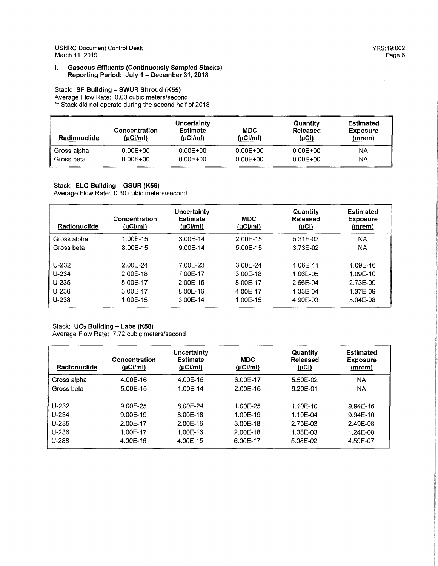USN RC Document Control Desk YRS:19:002 March 11, 2019

#### I. **Gaseous Effluents (Continuously Sampled Stacks) Reporting Period: July 1** - **December 31, 2018**

# Stack: SF Building - SWUR Shroud (K55)

Average Flow Rate: 0.00 cubic meters/second \*\* Stack did not operate during the second half of 2018

| <b>Radionuclide</b> | Uncertainty<br><b>Estimate</b><br><b>MDC</b><br>Concentration<br>(µCi/ml)<br>$(\mu$ Ci/ml $)$<br>$(\mu$ Ci/ml $)$ |              | Quantity<br>Released<br>(µCi) | Estimated<br><b>Exposure</b><br>(mrem) |           |
|---------------------|-------------------------------------------------------------------------------------------------------------------|--------------|-------------------------------|----------------------------------------|-----------|
| Gross alpha         | $0.00E + 00$                                                                                                      | $0.00E + 00$ | $0.00E + 00$                  | $0.00E + 00$                           | NA        |
| Gross beta          | $0.00E + 00$                                                                                                      | $0.00E + 00$ | $0.00E + 00$                  | $0.00E + 00$                           | <b>NA</b> |

#### Stack: **ELO Building - GSUR (K56)** Average Flow Rate: 0.30 cubic meters/second

| Radionuclide | Concentration<br>$(\mu$ Ci/ml $)$ | Uncertainty<br><b>Estimate</b><br>$(\mu$ Ci/ml $)$ | <b>MDC</b><br>(µCIMI) | Quantity<br>Released<br><u>(µCi)</u> | <b>Estimated</b><br><b>Exposure</b><br>(mrem) |
|--------------|-----------------------------------|----------------------------------------------------|-----------------------|--------------------------------------|-----------------------------------------------|
| Gross alpha  | 1.00E-15                          | 3.00E-14                                           | 2.00E-15              | 5.31E-03                             | <b>NA</b>                                     |
| Gross beta   | 8.00E-15                          | 9.00E-14                                           | 5.00E-15              | 3.73E-02                             | <b>NA</b>                                     |
| $U - 232$    | 2.00E-24                          | 7.00E-23                                           | 3.00E-24              | 1.06E-11                             | 1.09E-16                                      |
| $U-234$      | 2.00E-18                          | 7.00E-17                                           | 3.00E-18              | 1.06E-05                             | 1.09E-10                                      |
| $U-235$      | 5.00E-17                          | $2.00E-15$                                         | 8.00E-17              | 2.66E-04                             | 2.73E-09                                      |
| U-236        | 3.00E-17                          | 8.00E-16                                           | 4.00E-17              | 1.33E-04                             | 1.37E-09                                      |
| $U-238$      | 1.00E-15                          | 3.00E-14                                           | 1.00E-15              | 4.90E-03                             | 5.04E-08                                      |

# Stack: **UO<sub>2</sub> Building - Labs (K58)**

Average Flow Rate: 7.72 cubic meters/second

| Radionuclide | Concentration<br>(µCIMI) | Uncertainty<br>Estimate<br>$(\mu$ Ci/ml $)$ | <b>MDC</b><br>$(\mu$ Ci/ml $)$ | Quantity<br>Released<br>(µCi) | <b>Estimated</b><br><b>Exposure</b><br>(mrem) |
|--------------|--------------------------|---------------------------------------------|--------------------------------|-------------------------------|-----------------------------------------------|
| Gross alpha  | 4.00E-16                 | 4.00E-15                                    | 6.00E-17                       | 5.50E-02                      | NA                                            |
| Gross beta   | 5.00E-15                 | 1.00E-14                                    | 2.00E-16                       | 6.20E-01                      | ΝA                                            |
| $U-232$      | 9.00E-25                 | 8.00F-24                                    | 1.00F-25                       | 1.10E-10                      | $9.94E-16$                                    |
| $U - 234$    | 9.00E-19                 | 8.00E-18                                    | 1.00E-19                       | 1.10E-04                      | $9.94E-10$                                    |
| $U-235$      | 2.00E-17                 | 2.00E-16                                    | 3.00E-18                       | 2.75E-03                      | 2.49E-08                                      |
| $U - 236$    | 1.00E-17                 | 1.00E-16                                    | 2.00E-18                       | 1.38E-03                      | 1.24E-08                                      |
| $U - 238$    | 4.00E-16                 | 4.00E-15                                    | 6.00E-17                       | 5.08E-02                      | 4.59E-07                                      |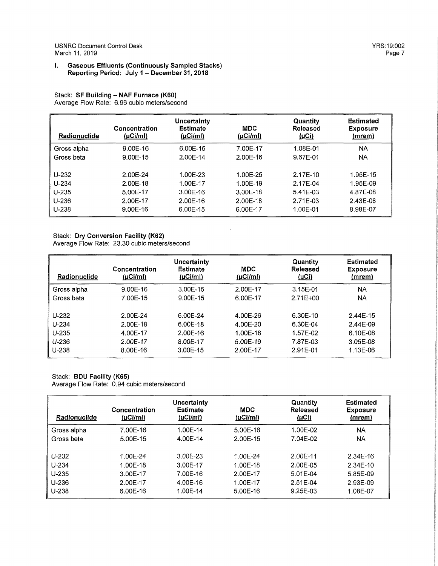#### I. **Gaseous Effluents (Continuously Sampled Stacks) Reporting Period: July 1 - December 31, 2018**

# Stack: **SF Building - NAF Furnace (K60)**  Average Flow Rate: 6.96 cubic meters/second

| Radionuclide                                            | Concentration<br>(µCIMI)                                   | Uncertainty<br><b>Estimate</b><br>(µCi/ml)                 | <b>MDC</b><br>(LCl/ml)                                   | <b>Quantity</b><br>Released<br><u>(µCi)</u>                | <b>Estimated</b><br><b>Exposure</b><br>(mrem)            |
|---------------------------------------------------------|------------------------------------------------------------|------------------------------------------------------------|----------------------------------------------------------|------------------------------------------------------------|----------------------------------------------------------|
| Gross alpha                                             | 9.00E-16                                                   | 6.00F-15                                                   | 7.00E-17                                                 | 1.08E-01                                                   | <b>NA</b>                                                |
| Gross beta                                              | $9.00E-15$                                                 | 2.00E-14                                                   | 2.00E-16                                                 | 9.67E-01                                                   | <b>NA</b>                                                |
| $U - 232$<br>$U-234$<br>$U-235$<br>$U-236$<br>$U - 238$ | 2.00E-24<br>2.00E-18<br>5.00E-17<br>2.00E-17<br>$9.00E-16$ | 1.00E-23<br>1.00E-17<br>$3.00E-16$<br>2.00E-16<br>6.00E-15 | 1.00E-25<br>1.00E-19<br>3.00E-18<br>2.00E-18<br>6.00E-17 | $2.17E-10$<br>2.17E-04<br>5.41E-03<br>2.71E-03<br>1.00E-01 | 1.95E-15<br>1.95E-09<br>4.87E-08<br>2.43E-08<br>8.98E-07 |

# Stack: **Dry Conversion Facility (K62)**

Average Flow Rate: 23.30 cubic meters/second

| Radionuclide | Concentration<br>$(\mu$ Ci/ml $)$ | Uncertainty<br><b>Estimate</b><br>(LCl/m) | <b>MDC</b><br>$(\mu$ Ci/ml $)$ | Quantity<br>Released<br><u>(µCi)</u> | <b>Estimated</b><br><b>Exposure</b><br>(mrem) |
|--------------|-----------------------------------|-------------------------------------------|--------------------------------|--------------------------------------|-----------------------------------------------|
| Gross alpha  | $9.00E-16$                        | 3.00E-15                                  | 2.00E-17                       | 3.15E-01                             | NA.                                           |
| Gross beta   | 7.00E-15                          | 9.00E-15                                  | 6.00E-17                       | 2.71E+00                             | <b>NA</b>                                     |
| $U-232$      | 2.00E-24                          | 6.00E-24                                  | 4.00E-26                       | 6.30E-10                             | $2.44E-15$                                    |
| $U - 234$    | 2.00E-18                          | $6.00E-18$                                | 4.00E-20                       | 6.30E-04                             | 2.44E-09                                      |
| $U-235$      | 4.00E-17                          | $2.00F-16$                                | 1.00E-18                       | 1.57F-02                             | 6.10E-08                                      |
| $U - 236$    | 2.00E-17                          | 8.00E-17                                  | 5.00E-19                       | 7.87E-03                             | 3.05E-08                                      |
| $U-238$      | 8.00E-16                          | 3.00E-15                                  | 2.00E-17                       | 2.91E-01                             | 1.13E-06                                      |

#### Stack: **BOU Facility (K65)**  Average Flow Rate: 0.94 cubic meters/second

| Radionuclide | Concentration<br>(µCIMl) | Uncertainty<br><b>Estimate</b><br>$(\mu$ Ci/ml) | MDC<br>(µCi/ml) | Quantity<br>Released<br>(LCl) | <b>Estimated</b><br><b>Exposure</b><br>(mrem) |
|--------------|--------------------------|-------------------------------------------------|-----------------|-------------------------------|-----------------------------------------------|
| Gross alpha  | 7.00E-16                 | 1.00E-14                                        | $5.00E-16$      | 1.00E-02                      | ΝA                                            |
| Gross beta   | 5.00E-15                 | 4.00E-14                                        | 2.00E-15        | 7.04E-02                      | ΝA                                            |
|              |                          |                                                 |                 |                               |                                               |
| $U - 232$    | 1.00E-24                 | 3.00E-23                                        | 1.00E-24        | 2.00E-11                      | 2.34E-16                                      |
| $U - 234$    | 1.00E-18                 | 3.00E-17                                        | 1.00E-18        | 2.00E-05                      | 2.34E-10                                      |
| $U-235$      | 3.00E-17                 | 7.00E-16                                        | 2.00E-17        | 5.01E-04                      | 5.85E-09                                      |
| $U-236$      | 2.00E-17                 | 4.00E-16                                        | 1.00E-17        | $2.51E-04$                    | 2.93E-09                                      |
| $U-238$      | 6.00E-16                 | 1.00E-14                                        | 5.00E-16        | 9.25E-03                      | 1.08E-07                                      |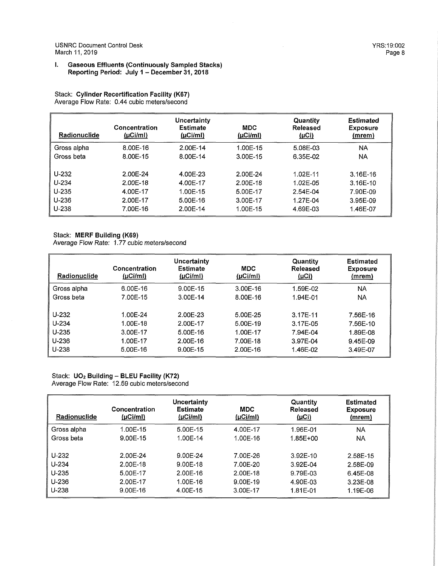#### I. **Gaseous Effluents (Continuously Sampled Stacks) Reporting Period: July 1 - December 31, 2018**

Stack: **Cylinder Recertification Facility (K67)**  Average Flow Rate: 0.44 cubic meters/second

| Radionuclide                                      | Concentration<br>$(\mu$ Ci/ml $)$                        | Uncertainty<br><b>Estimate</b><br>(LCIM)                   | <b>MDC</b><br>$(\mu$ Ci/ml)                              | Quantity<br><b>Released</b><br><u>(µCi)</u>              | <b>Estimated</b><br><b>Exposure</b><br>(mrem)                  |
|---------------------------------------------------|----------------------------------------------------------|------------------------------------------------------------|----------------------------------------------------------|----------------------------------------------------------|----------------------------------------------------------------|
| Gross alpha                                       | 8.00E-16                                                 | 2.00E-14                                                   | 1.00E-15                                                 | 5.08E-03                                                 | NA                                                             |
| Gross beta                                        | 8.00E-15                                                 | 8.00E-14                                                   | 3.00E-15                                                 | 6.35E-02                                                 | NA.                                                            |
| U-232<br>$U - 234$<br>$U-235$<br>U-236<br>$U-238$ | 2.00E-24<br>2.00E-18<br>4.00E-17<br>2.00E-17<br>7.00E-16 | 4.00E-23<br>4.00E-17<br>1.00E-15<br>$5.00E-16$<br>2.00E-14 | 2.00E-24<br>2.00E-18<br>5.00E-17<br>3.00E-17<br>1.00E-15 | 1.02E-11<br>1.02E-05<br>2.54E-04<br>1.27E-04<br>4.69E-03 | $3.16E - 16$<br>$3.16E-10$<br>7.90E-09<br>3.95E-09<br>1.46E-07 |

# Stack: **MERF Building (K69)**

Average Flow Rate: 1.77 cubic meters/second

| <b>Radionuclide</b> | Concentration<br>(µCi/ml) | Uncertainty<br><b>Estimate</b><br>(LCl/mI) | <b>MDC</b><br>$(\mu$ Ci/ml $)$ | Quantity<br>Released<br>(LCl) | <b>Estimated</b><br><b>Exposure</b><br>(mrem) |
|---------------------|---------------------------|--------------------------------------------|--------------------------------|-------------------------------|-----------------------------------------------|
| Gross alpha         | $6.00E-16$                | 9.00E-15                                   | 3.00E-16                       | 1.59E-02                      | <b>NA</b>                                     |
| Gross beta          | 7.00E-15                  | 3.00E-14                                   | 8.00E-16                       | 1.94E-01                      | <b>NA</b>                                     |
| $U-232$             | 1.00E-24                  | 2.00F-23                                   | 5.00E-25                       | 3.17E-11                      | 7.56E-16                                      |
| $U - 234$           | $1.00E-18$                | 2.00E-17                                   | 5.00E-19                       | 3.17E-05                      | 7.56E-10                                      |
| $U-235$             | 3.00E-17                  | 5.00E-16                                   | 1.00E-17                       | 7.94E-04                      | 1.89E-08                                      |
| $U - 236$           | 1.00E-17                  | 2.00E-16                                   | 7.00E-18                       | 3.97E-04                      | 9.45E-09                                      |
| $U - 238$           | 5.00E-16                  | $9.00E - 15$                               | 2.00E-16                       | 1.46E-02                      | 3.49E-07                                      |

Stack: **U02 Building - BLEU Facility (K72)**  Average Flow Rate: 12.59 cubic meters/second

| Radionuclide | Concentration<br>(µCi/ml) | Uncertainty<br><b>Estimate</b><br>(µCIM) | <b>MDC</b><br>(LCl/ml) | Quantity<br>Released<br>(µCi) | <b>Estimated</b><br><b>Exposure</b><br>(mrem) |
|--------------|---------------------------|------------------------------------------|------------------------|-------------------------------|-----------------------------------------------|
| Gross alpha  | 1.00E-15                  | 5.00E-15                                 | 4.00E-17               | 1.96E-01                      | NA                                            |
| Gross beta   | 9.00E-15                  | 1.00E-14                                 | 1.00E-16               | $1.85E + 00$                  | NA                                            |
|              |                           |                                          |                        |                               |                                               |
| $U-232$      | 2.00F-24                  | $9.00F - 24$                             | 7.00E-26               | 3.92E-10                      | 2.58E-15                                      |
| $U - 234$    | 2.00E-18                  | 9.00E-18                                 | 7.00F-20               | 3.92E-04                      | 2.58E-09                                      |
| $U - 235$    | 5.00E-17                  | 2.00E-16                                 | 2.00E-18               | 9.79E-03                      | 6.45E-08                                      |
| $U - 236$    | 2.00E-17                  | 1.00E-16                                 | 9.00E-19               | 4.90E-03                      | 3.23E-08                                      |
| $U - 238$    | $9.00E-16$                | 4.00E-15                                 | 3.00E-17               | 1.81E-01                      | 1.19E-06                                      |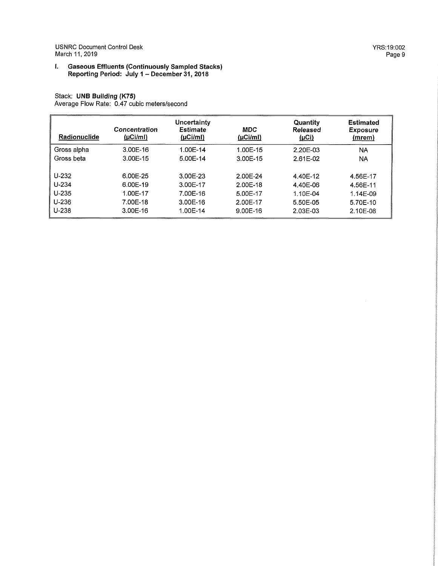USN RC Document Control Desk March 11, 2019

#### I. **Gaseous Effluents (Continuously Sampled Stacks) Reporting Period: July 1** - **December 31, 2018**

# Stack: **UNB Building (K75)**

Average Flow Rate: 0.47 cubic meters/second

| Radionuclide | Concentration<br>(µCi/ml) | <b>Uncertainty</b><br><b>Estimate</b><br>$(\mu$ Ci/ml $)$ | <b>MDC</b><br>$(\mu$ Ci/ml) | Quantity<br>Released<br><u>(µCi)</u> | <b>Estimated</b><br><b>Exposure</b><br><u>(mrem)</u> |
|--------------|---------------------------|-----------------------------------------------------------|-----------------------------|--------------------------------------|------------------------------------------------------|
| Gross alpha  | 3.00E-16                  | 1.00E-14                                                  | 1.00E-15                    | 2.20E-03                             | <b>NA</b>                                            |
| Gross beta   | 3.00F-15                  | 5.00E-14                                                  | 3.00E-15                    | 2.61E-02                             | <b>NA</b>                                            |
| U-232        | 6.00E-25                  | 3.00E-23                                                  | 2.00E-24                    | 4.40E-12                             | 4.56E-17                                             |
| $U - 234$    | 6.00E-19                  | 3.00E-17                                                  | 2.00E-18                    | 4.40E-06                             | 4.56E-11                                             |
| $U - 235$    | 1.00E-17                  | 7.00E-16                                                  | 5.00E-17                    | 1.10E-04                             | 1.14E-09                                             |
| $U - 236$    | 7.00E-18                  | 3.00E-16                                                  | 2.00E-17                    | 5.50E-05                             | 5.70E-10                                             |
| $U - 238$    | 3.00E-16                  | 1.00E-14                                                  | $9.00E-16$                  | 2.03E-03                             | 2.10E-08                                             |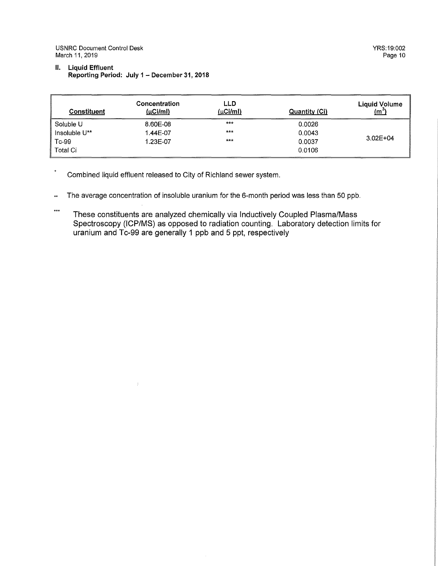USNRC Document Control Desk March 11, 2019

# II. **Liquid Effluent Reporting Period: July 1** - **December 31, 2018**

| Constituent   | Concentration<br>(LCl/ml) | LLD<br>$(\mu$ Ci/ml) | Quantity (Ci) | <b>Liquid Volume</b><br>$\left(\frac{m^3}{2}\right)$ |
|---------------|---------------------------|----------------------|---------------|------------------------------------------------------|
| Soluble U     | 8.60E-08                  | $***$                | 0.0026        |                                                      |
| Insoluble U** | 1.44E-07                  | ***                  | 0.0043        |                                                      |
| Tc-99         | 1.23E-07                  | ***                  | 0.0037        | $3.02E + 04$                                         |
| Total Ci      |                           |                      | 0.0106        |                                                      |

 $\star$ Combined liquid effluent released to City of Richland sewer system.

 $\bar{f}$ 

- The average concentration of insoluble uranium for the 6-month period was less than 50 ppb.  $\star\star$
- $***$ These constituents are analyzed chemically via Inductively Coupled Plasma/Mass Spectroscopy (ICP/MS) as opposed to radiation counting. Laboratory detection limits for uranium and Tc-99 are generally 1 ppb and 5 ppt, respectively